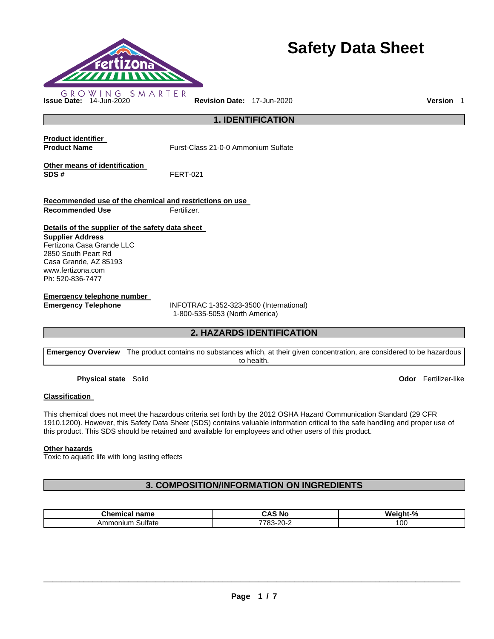

# **Safety Data Sheet**

**Issue Date:** 14-Jun-2020 **Revision Date:** 17-Jun-2020 **Version** 1

**1. IDENTIFICATION** 

**Product identifier** 

**Product Name Furst-Class 21-0-0 Ammonium Sulfate** 

**Other means of identification SDS #** FERT-021

**Recommended use of the chemical and restrictions on use Recommended Use <b>Fertilizer.** 

## **Details of the supplier of the safety data sheet**

#### **Supplier Address** Fertizona Casa Grande LLC 2850 South Peart Rd

Casa Grande, AZ 85193 www.fertizona.com Ph: 520-836-7477

# **Emergency telephone number**

**Emergency Telephone** INFOTRAC 1-352-323-3500 (International) 1-800-535-5053 (North America)

# **2. HAZARDS IDENTIFICATION**

**Emergency Overview** The product contains no substances which, at their given concentration, are considered to be hazardous to health.

**Physical state** Solid **Odor** Fertilizer-like

# **Classification**

This chemical does not meet the hazardous criteria set forth by the 2012 OSHA Hazard Communication Standard (29 CFR 1910.1200). However, this Safety Data Sheet (SDS) contains valuable information critical to the safe handling and proper use of this product. This SDS should be retained and available for employees and other users of this product.

### **Other hazards**

Toxic to aquatic life with long lasting effects

# **3. COMPOSITION/INFORMATION ON INGREDIENTS**

| $\sim$<br>n <sub>max</sub><br>mm<br>une<br>name<br>шкаг | ' Nc<br>. и<br>. .                                  | Weight-%<br>70 |
|---------------------------------------------------------|-----------------------------------------------------|----------------|
| <b>Sulfate</b><br>Amn<br>onium                          | ، ص<br>7700<br>$-1$<br>∵o J<br>$\sim$ $\sim$ $\sim$ | 10C            |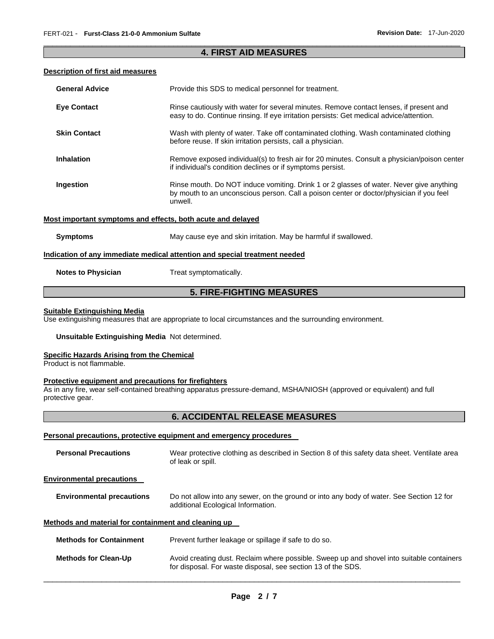# \_\_\_\_\_\_\_\_\_\_\_\_\_\_\_\_\_\_\_\_\_\_\_\_\_\_\_\_\_\_\_\_\_\_\_\_\_\_\_\_\_\_\_\_\_\_\_\_\_\_\_\_\_\_\_\_\_\_\_\_\_\_\_\_\_\_\_\_\_\_\_\_\_\_\_\_\_\_\_\_\_\_\_\_\_\_\_\_\_\_\_\_\_ **4. FIRST AID MEASURES**

### **Description of first aid measures**

| <b>General Advice</b>     | Provide this SDS to medical personnel for treatment.                                                                                                                                          |
|---------------------------|-----------------------------------------------------------------------------------------------------------------------------------------------------------------------------------------------|
| <b>Eye Contact</b>        | Rinse cautiously with water for several minutes. Remove contact lenses, if present and<br>easy to do. Continue rinsing. If eye irritation persists: Get medical advice/attention.             |
| <b>Skin Contact</b>       | Wash with plenty of water. Take off contaminated clothing. Wash contaminated clothing<br>before reuse. If skin irritation persists, call a physician.                                         |
| <b>Inhalation</b>         | Remove exposed individual(s) to fresh air for 20 minutes. Consult a physician/poison center<br>if individual's condition declines or if symptoms persist.                                     |
| Ingestion                 | Rinse mouth. Do NOT induce vomiting. Drink 1 or 2 glasses of water. Never give anything<br>by mouth to an unconscious person. Call a poison center or doctor/physician if you feel<br>unwell. |
|                           | Most important symptoms and effects, both acute and delayed                                                                                                                                   |
| <b>Symptoms</b>           | May cause eye and skin irritation. May be harmful if swallowed.                                                                                                                               |
|                           | Indication of any immediate medical attention and special treatment needed                                                                                                                    |
| <b>Notes to Physician</b> | Treat symptomatically.                                                                                                                                                                        |

# **5. FIRE-FIGHTING MEASURES**

### **Suitable Extinguishing Media**

Use extinguishing measures that are appropriate to local circumstances and the surrounding environment.

# **Unsuitable Extinguishing Media** Not determined.

### **Specific Hazards Arising from the Chemical**

Product is not flammable.

### **Protective equipment and precautions for firefighters**

As in any fire, wear self-contained breathing apparatus pressure-demand, MSHA/NIOSH (approved or equivalent) and full protective gear.

# **6. ACCIDENTAL RELEASE MEASURES**

### **Personal precautions, protective equipment and emergency procedures**

| <b>Personal Precautions</b>                          | Wear protective clothing as described in Section 8 of this safety data sheet. Ventilate area<br>of leak or spill.                                         |  |  |  |
|------------------------------------------------------|-----------------------------------------------------------------------------------------------------------------------------------------------------------|--|--|--|
| <b>Environmental precautions</b>                     |                                                                                                                                                           |  |  |  |
| <b>Environmental precautions</b>                     | Do not allow into any sewer, on the ground or into any body of water. See Section 12 for<br>additional Ecological Information.                            |  |  |  |
| Methods and material for containment and cleaning up |                                                                                                                                                           |  |  |  |
| <b>Methods for Containment</b>                       | Prevent further leakage or spillage if safe to do so.                                                                                                     |  |  |  |
| <b>Methods for Clean-Up</b>                          | Avoid creating dust. Reclaim where possible. Sweep up and shovel into suitable containers<br>for disposal. For waste disposal, see section 13 of the SDS. |  |  |  |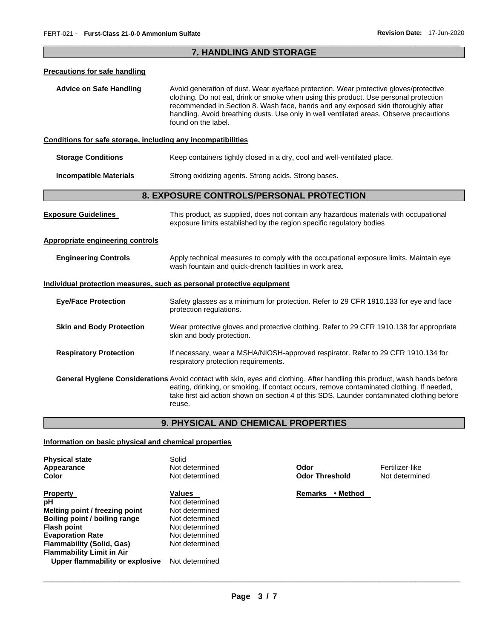# \_\_\_\_\_\_\_\_\_\_\_\_\_\_\_\_\_\_\_\_\_\_\_\_\_\_\_\_\_\_\_\_\_\_\_\_\_\_\_\_\_\_\_\_\_\_\_\_\_\_\_\_\_\_\_\_\_\_\_\_\_\_\_\_\_\_\_\_\_\_\_\_\_\_\_\_\_\_\_\_\_\_\_\_\_\_\_\_\_\_\_\_\_ **7. HANDLING AND STORAGE**

### **Precautions for safe handling**

**Advice on Safe Handling** Avoid generation of dust. Wear eye/face protection. Wear protective gloves/protective clothing. Do not eat, drink or smoke when using this product. Use personal protection recommended in Section 8. Wash face, hands and any exposed skin thoroughly after handling. Avoid breathing dusts. Use only in well ventilated areas. Observe precautions found on the label.

### **Conditions for safe storage, including any incompatibilities**

| Storage Conditions |  |  | Keep containers tightly closed in a dry, cool and well-ventilated place. |
|--------------------|--|--|--------------------------------------------------------------------------|
|--------------------|--|--|--------------------------------------------------------------------------|

**Incompatible Materials Strong oxidizing agents. Strong acids. Strong bases.** 

# **8. EXPOSURE CONTROLS/PERSONAL PROTECTION**

| <b>Exposure Guidelines</b>                                            | This product, as supplied, does not contain any hazardous materials with occupational<br>exposure limits established by the region specific regulatory bodies                                                                                                                                                                         |
|-----------------------------------------------------------------------|---------------------------------------------------------------------------------------------------------------------------------------------------------------------------------------------------------------------------------------------------------------------------------------------------------------------------------------|
| <b>Appropriate engineering controls</b>                               |                                                                                                                                                                                                                                                                                                                                       |
| <b>Engineering Controls</b>                                           | Apply technical measures to comply with the occupational exposure limits. Maintain eye<br>wash fountain and quick-drench facilities in work area.                                                                                                                                                                                     |
| Individual protection measures, such as personal protective equipment |                                                                                                                                                                                                                                                                                                                                       |
| <b>Eye/Face Protection</b>                                            | Safety glasses as a minimum for protection. Refer to 29 CFR 1910.133 for eye and face<br>protection regulations.                                                                                                                                                                                                                      |
| <b>Skin and Body Protection</b>                                       | Wear protective gloves and protective clothing. Refer to 29 CFR 1910.138 for appropriate<br>skin and body protection.                                                                                                                                                                                                                 |
| <b>Respiratory Protection</b>                                         | If necessary, wear a MSHA/NIOSH-approved respirator. Refer to 29 CFR 1910.134 for<br>respiratory protection requirements.                                                                                                                                                                                                             |
|                                                                       | <b>General Hygiene Considerations</b> Avoid contact with skin, eyes and clothing. After handling this product, wash hands before<br>eating, drinking, or smoking. If contact occurs, remove contaminated clothing. If needed,<br>take first aid action shown on section 4 of this SDS. Launder contaminated clothing before<br>reuse. |

# **9. PHYSICAL AND CHEMICAL PROPERTIES**

# **Information on basic physical and chemical properties**

| <b>Physical state</b>            | Solid          |                       |                 |
|----------------------------------|----------------|-----------------------|-----------------|
| Appearance                       | Not determined | Odor                  | Fertilizer-like |
| Color                            | Not determined | <b>Odor Threshold</b> | Not determine   |
| <b>Property</b>                  | Values         | Remarks<br>• Method   |                 |
| рH                               | Not determined |                       |                 |
| Melting point / freezing point   | Not determined |                       |                 |
| Boiling point / boiling range    | Not determined |                       |                 |
| <b>Flash point</b>               | Not determined |                       |                 |
| <b>Evaporation Rate</b>          | Not determined |                       |                 |
| <b>Flammability (Solid, Gas)</b> | Not determined |                       |                 |
| <b>Flammability Limit in Air</b> |                |                       |                 |
| Upper flammability or explosive  | Not determined |                       |                 |

**Not determined**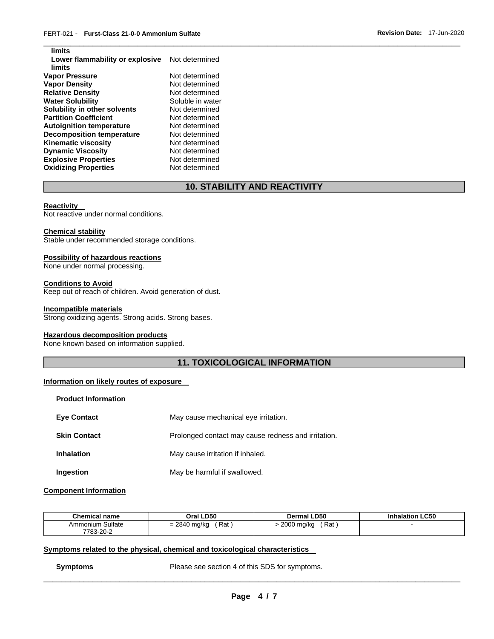| limits                           |                  |
|----------------------------------|------------------|
| Lower flammability or explosive  | Not determined   |
| limits                           |                  |
| <b>Vapor Pressure</b>            | Not determined   |
| <b>Vapor Density</b>             | Not determined   |
| <b>Relative Density</b>          | Not determined   |
| <b>Water Solubility</b>          | Soluble in water |
| Solubility in other solvents     | Not determined   |
| <b>Partition Coefficient</b>     | Not determined   |
| <b>Autoignition temperature</b>  | Not determined   |
| <b>Decomposition temperature</b> | Not determined   |
| <b>Kinematic viscosity</b>       | Not determined   |
| <b>Dynamic Viscosity</b>         | Not determined   |
| <b>Explosive Properties</b>      | Not determined   |
| <b>Oxidizing Properties</b>      | Not determined   |

# **10. STABILITY AND REACTIVITY**

\_\_\_\_\_\_\_\_\_\_\_\_\_\_\_\_\_\_\_\_\_\_\_\_\_\_\_\_\_\_\_\_\_\_\_\_\_\_\_\_\_\_\_\_\_\_\_\_\_\_\_\_\_\_\_\_\_\_\_\_\_\_\_\_\_\_\_\_\_\_\_\_\_\_\_\_\_\_\_\_\_\_\_\_\_\_\_\_\_\_\_\_\_

#### **Reactivity**

**limits** 

Not reactive under normal conditions.

# **Chemical stability**

Stable under recommended storage conditions.

#### **Possibility of hazardous reactions**

None under normal processing.

### **Conditions to Avoid**

Keep out of reach of children. Avoid generation of dust.

#### **Incompatible materials**

Strong oxidizing agents. Strong acids. Strong bases.

# **Hazardous decomposition products**

None known based on information supplied.

# **11. TOXICOLOGICAL INFORMATION**

### **Information on likely routes of exposure**

| <b>Product Information</b> |                                                     |
|----------------------------|-----------------------------------------------------|
| <b>Eve Contact</b>         | May cause mechanical eye irritation.                |
| <b>Skin Contact</b>        | Prolonged contact may cause redness and irritation. |
| <b>Inhalation</b>          | May cause irritation if inhaled.                    |
| Ingestion                  | May be harmful if swallowed.                        |

### **Component Information**

| <b>Chemical name</b> | Oral LD50    | <b>Dermal LD50</b> | <b>Inhalation LC50</b> |
|----------------------|--------------|--------------------|------------------------|
| Ammonium Sulfate     | ์ Rat        | Rat .              |                        |
| 7783-20-2            | = 2840 mg/kg | 2000 mg/kg         |                        |

### **Symptoms related to the physical, chemical and toxicological characteristics**

**Symptoms** Please see section 4 of this SDS for symptoms.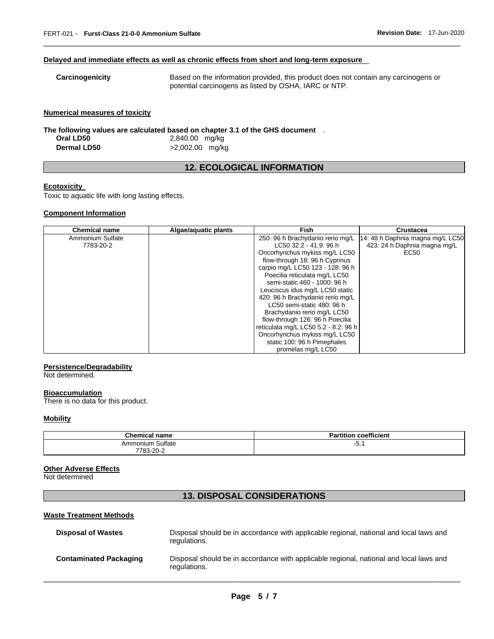### **Delayed and immediate effects as well as chronic effects from short and long-term exposure**

\_\_\_\_\_\_\_\_\_\_\_\_\_\_\_\_\_\_\_\_\_\_\_\_\_\_\_\_\_\_\_\_\_\_\_\_\_\_\_\_\_\_\_\_\_\_\_\_\_\_\_\_\_\_\_\_\_\_\_\_\_\_\_\_\_\_\_\_\_\_\_\_\_\_\_\_\_\_\_\_\_\_\_\_\_\_\_\_\_\_\_\_\_

### **Numerical measures of toxicity**

**The following values are calculated based on chapter 3.1 of the GHS document** .

| Oral LD50          | 2,840.00 mg/kg    |
|--------------------|-------------------|
| <b>Dermal LD50</b> | $>2,002.00$ mg/kg |

# **12. ECOLOGICAL INFORMATION**

# **Ecotoxicity**

Toxic to aquatic life with long lasting effects.

# **Component Information**

| <b>Chemical name</b> | Algae/aquatic plants | <b>Fish</b>                          | Crustacea                        |
|----------------------|----------------------|--------------------------------------|----------------------------------|
| Ammonium Sulfate     |                      | 250: 96 h Brachydanio rerio mg/L     | 14: 48 h Daphnia magna mg/L LC50 |
| 7783-20-2            |                      | LC50 32.2 - 41.9: 96 h               | 423: 24 h Daphnia magna mg/L     |
|                      |                      | Oncorhynchus mykiss mg/L LC50        | EC50                             |
|                      |                      | flow-through 18: 96 h Cyprinus       |                                  |
|                      |                      | carpio mg/L LC50 123 - 128: 96 h     |                                  |
|                      |                      | Poecilia reticulata mg/L LC50        |                                  |
|                      |                      | semi-static 460 - 1000: 96 h         |                                  |
|                      |                      | Leuciscus idus mg/L LC50 static      |                                  |
|                      |                      | 420: 96 h Brachydanio rerio mg/L     |                                  |
|                      |                      | LC50 semi-static 480: 96 h           |                                  |
|                      |                      | Brachydanio rerio mg/L LC50          |                                  |
|                      |                      | flow-through 126: 96 h Poecilia      |                                  |
|                      |                      | reticulata mg/L LC50 5.2 - 8.2: 96 h |                                  |
|                      |                      | Oncorhynchus mykiss mg/L LC50        |                                  |
|                      |                      | static 100: 96 h Pimephales          |                                  |
|                      |                      | promelas mg/L LC50                   |                                  |

# **Persistence/Degradability**

Not determined.

# **Bioaccumulation**

There is no data for this product.

### **Mobility**

| <b>Chemical name</b>     | coefficient<br>Partition |
|--------------------------|--------------------------|
| Sulfate<br>monium<br>Amr | י ט-                     |
| ے۔20-3-20<br>__          |                          |

# **Other Adverse Effects**

Not determined

# **13. DISPOSAL CONSIDERATIONS**

# **Waste Treatment Methods**

| <b>Disposal of Wastes</b>     | Disposal should be in accordance with applicable regional, national and local laws and<br>regulations. |
|-------------------------------|--------------------------------------------------------------------------------------------------------|
| <b>Contaminated Packaging</b> | Disposal should be in accordance with applicable regional, national and local laws and<br>regulations. |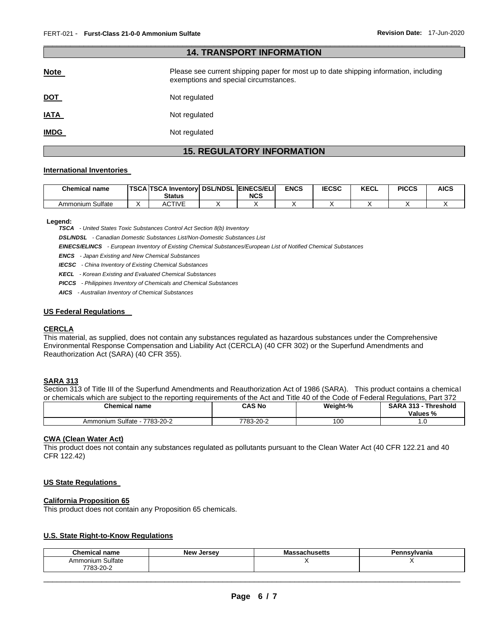| <b>14. TRANSPORT INFORMATION</b> |                                                                                                                                |  |  |  |  |
|----------------------------------|--------------------------------------------------------------------------------------------------------------------------------|--|--|--|--|
| <b>Note</b>                      | Please see current shipping paper for most up to date shipping information, including<br>exemptions and special circumstances. |  |  |  |  |
| <u>DOT</u>                       | Not regulated                                                                                                                  |  |  |  |  |
| <b>IATA</b>                      | Not regulated                                                                                                                  |  |  |  |  |
| <u>IMDG</u>                      | Not regulated                                                                                                                  |  |  |  |  |

\_\_\_\_\_\_\_\_\_\_\_\_\_\_\_\_\_\_\_\_\_\_\_\_\_\_\_\_\_\_\_\_\_\_\_\_\_\_\_\_\_\_\_\_\_\_\_\_\_\_\_\_\_\_\_\_\_\_\_\_\_\_\_\_\_\_\_\_\_\_\_\_\_\_\_\_\_\_\_\_\_\_\_\_\_\_\_\_\_\_\_\_\_

# **15. REGULATORY INFORMATION**

### **International Inventories**

| <b>Chemical name</b> | <b>TSCA TSCA Inventory DSL/NDSL EINECS/ELI</b> |            | <b>ENCS</b> | <b>IECSC</b> | <b>KECL</b> | <b>PICCS</b> | <b>AICS</b> |
|----------------------|------------------------------------------------|------------|-------------|--------------|-------------|--------------|-------------|
|                      | Status                                         | <b>NCS</b> |             |              |             |              |             |
| Sulfate<br>Ammonium  | <b>ACTIVE</b>                                  |            |             |              |             |              |             |

#### **Legend:**

*TSCA - United States Toxic Substances Control Act Section 8(b) Inventory* 

*DSL/NDSL - Canadian Domestic Substances List/Non-Domestic Substances List* 

*EINECS/ELINCS - European Inventory of Existing Chemical Substances/European List of Notified Chemical Substances* 

*ENCS - Japan Existing and New Chemical Substances* 

*IECSC - China Inventory of Existing Chemical Substances* 

*KECL - Korean Existing and Evaluated Chemical Substances* 

*PICCS - Philippines Inventory of Chemicals and Chemical Substances* 

*AICS - Australian Inventory of Chemical Substances* 

### **US Federal Regulations**

### **CERCLA**

This material, as supplied, does not contain any substances regulated as hazardous substances under the Comprehensive Environmental Response Compensation and Liability Act (CERCLA) (40 CFR 302) or the Superfund Amendments and Reauthorization Act (SARA) (40 CFR 355).

### **SARA 313**

Section 313 of Title III of the Superfund Amendments and Reauthorization Act of 1986 (SARA). This product contains a chemical or chemicals which are subject to the reporting requirements of the Act and Title 40 of the Code of Federal Regulations, Part 372

| <u>Un onlocation minute and oubjook to this roporting roganomonto or tho riot and ritto no or tho Oodo or risagramomo, n</u><br>. |           |          |                                         |  |  |
|-----------------------------------------------------------------------------------------------------------------------------------|-----------|----------|-----------------------------------------|--|--|
| <b>Chemical name</b>                                                                                                              | CAS No    | Weight-% | <b>SARA 313 - Threshold</b><br>Values % |  |  |
| Ammonium Sulfate - 7783-20-2                                                                                                      | 7783-20-2 | 100      |                                         |  |  |

# **CWA (Clean Water Act)**

This product does not contain any substances regulated as pollutants pursuant to the Clean Water Act (40 CFR 122.21 and 40 CFR 122.42)

### **US State Regulations**

### **California Proposition 65**

This product does not contain any Proposition 65 chemicals.

# **U.S. State Right-to-Know Regulations**

| <b>Chemical name</b>          | <b>Now</b><br>Jersev | . .<br>athustus | Pennsylvania |
|-------------------------------|----------------------|-----------------|--------------|
| Ammonium Sulfate<br>7783-20-2 |                      | . .             | . .          |
|                               |                      |                 |              |